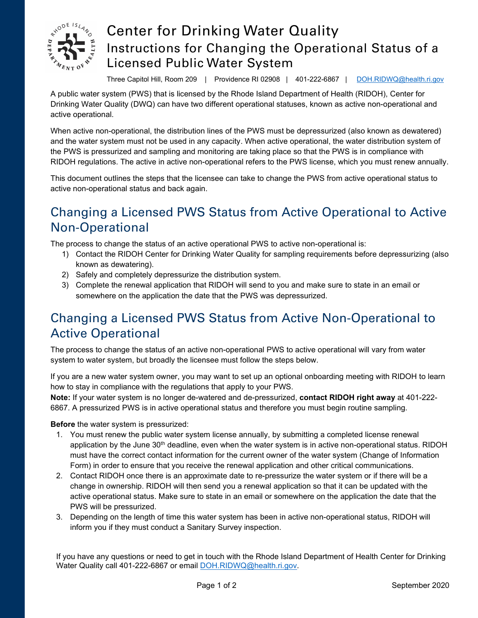

## Center for Drinking Water Quality Instructions for Changing the Operational Status of a Licensed Public Water System

Three Capitol Hill, Room 209 | Providence RI 02908 | 401-222-6867 | [DOH.RIDWQ@health.ri.gov](mailto:DOH.RIDWQ@health.ri.gov)

A public water system (PWS) that is licensed by the Rhode Island Department of Health (RIDOH), Center for Drinking Water Quality (DWQ) can have two different operational statuses, known as active non-operational and active operational.

When active non-operational, the distribution lines of the PWS must be depressurized (also known as dewatered) and the water system must not be used in any capacity. When active operational, the water distribution system of the PWS is pressurized and sampling and monitoring are taking place so that the PWS is in compliance with RIDOH regulations. The active in active non-operational refers to the PWS license, which you must renew annually.

This document outlines the steps that the licensee can take to change the PWS from active operational status to active non-operational status and back again.

## Changing a Licensed PWS Status from Active Operational to Active Non-Operational

The process to change the status of an active operational PWS to active non-operational is:

- 1) Contact the RIDOH Center for Drinking Water Quality for sampling requirements before depressurizing (also known as dewatering).
- 2) Safely and completely depressurize the distribution system.
- 3) Complete the renewal application that RIDOH will send to you and make sure to state in an email or somewhere on the application the date that the PWS was depressurized.

## Changing a Licensed PWS Status from Active Non-Operational to Active Operational

The process to change the status of an active non-operational PWS to active operational will vary from water system to water system, but broadly the licensee must follow the steps below.

If you are a new water system owner, you may want to set up an optional onboarding meeting with RIDOH to learn how to stay in compliance with the regulations that apply to your PWS.

**Note:** If your water system is no longer de-watered and de-pressurized, **contact RIDOH right away** at 401-222- 6867. A pressurized PWS is in active operational status and therefore you must begin routine sampling.

**Before** the water system is pressurized:

- 1. You must renew the public water system license annually, by submitting a completed license renewal application by the June 30<sup>th</sup> deadline, even when the water system is in active non-operational status. RIDOH must have the correct contact information for the current owner of the water system (Change of Information Form) in order to ensure that you receive the renewal application and other critical communications.
- 2. Contact RIDOH once there is an approximate date to re-pressurize the water system or if there will be a change in ownership. RIDOH will then send you a renewal application so that it can be updated with the active operational status. Make sure to state in an email or somewhere on the application the date that the PWS will be pressurized.
- 3. Depending on the length of time this water system has been in active non-operational status, RIDOH will inform you if they must conduct a Sanitary Survey inspection.

If you have any questions or need to get in touch with the Rhode Island Department of Health Center for Drinking Water Quality call 401-222-6867 or email [DOH.RIDWQ@health.ri.gov.](mailto:DOH.RIDWQ@health.ri.gov)